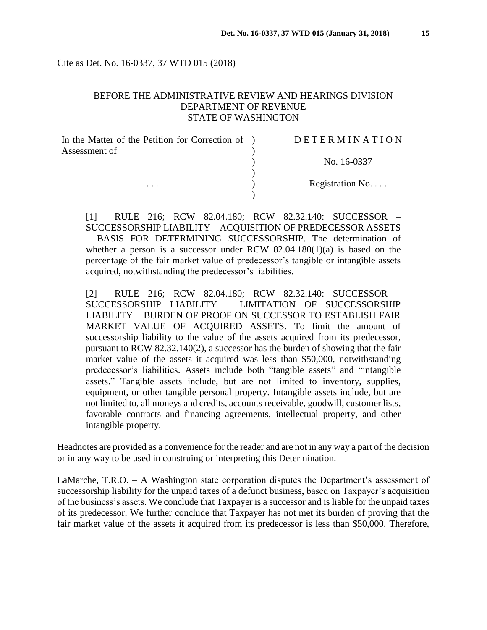Cite as Det. No. 16-0337, 37 WTD 015 (2018)

# BEFORE THE ADMINISTRATIVE REVIEW AND HEARINGS DIVISION DEPARTMENT OF REVENUE STATE OF WASHINGTON

| In the Matter of the Petition for Correction of ) | <b>DETERMINATION</b> |
|---------------------------------------------------|----------------------|
| Assessment of                                     |                      |
|                                                   | No. 16-0337          |
|                                                   |                      |
| $\cdots$                                          | Registration No      |
|                                                   |                      |

[1] RULE 216; RCW 82.04.180; RCW 82.32.140: SUCCESSOR – SUCCESSORSHIP LIABILITY – ACQUISITION OF PREDECESSOR ASSETS – BASIS FOR DETERMINING SUCCESSORSHIP. The determination of whether a person is a successor under RCW  $82.04.180(1)(a)$  is based on the percentage of the fair market value of predecessor's tangible or intangible assets acquired, notwithstanding the predecessor's liabilities.

[2] RULE 216; RCW 82.04.180; RCW 82.32.140: SUCCESSOR – SUCCESSORSHIP LIABILITY – LIMITATION OF SUCCESSORSHIP LIABILITY – BURDEN OF PROOF ON SUCCESSOR TO ESTABLISH FAIR MARKET VALUE OF ACQUIRED ASSETS. To limit the amount of successorship liability to the value of the assets acquired from its predecessor, pursuant to RCW 82.32.140(2), a successor has the burden of showing that the fair market value of the assets it acquired was less than \$50,000, notwithstanding predecessor's liabilities. Assets include both "tangible assets" and "intangible assets." Tangible assets include, but are not limited to inventory, supplies, equipment, or other tangible personal property. Intangible assets include, but are not limited to, all moneys and credits, accounts receivable, goodwill, customer lists, favorable contracts and financing agreements, intellectual property, and other intangible property.

Headnotes are provided as a convenience for the reader and are not in any way a part of the decision or in any way to be used in construing or interpreting this Determination.

LaMarche, T.R.O. – A Washington state corporation disputes the Department's assessment of successorship liability for the unpaid taxes of a defunct business, based on Taxpayer's acquisition of the business's assets. We conclude that Taxpayer is a successor and is liable for the unpaid taxes of its predecessor. We further conclude that Taxpayer has not met its burden of proving that the fair market value of the assets it acquired from its predecessor is less than \$50,000. Therefore,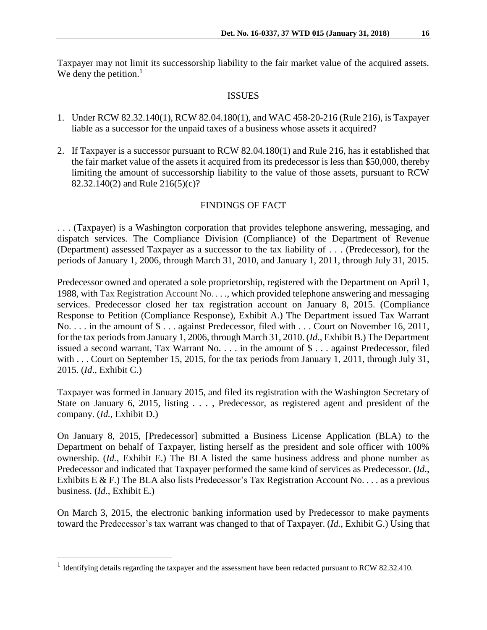Taxpayer may not limit its successorship liability to the fair market value of the acquired assets. We deny the petition. $<sup>1</sup>$ </sup>

### ISSUES

- 1. Under RCW 82.32.140(1), RCW 82.04.180(1), and WAC 458-20-216 (Rule 216), is Taxpayer liable as a successor for the unpaid taxes of a business whose assets it acquired?
- 2. If Taxpayer is a successor pursuant to RCW 82.04.180(1) and Rule 216, has it established that the fair market value of the assets it acquired from its predecessor is less than \$50,000, thereby limiting the amount of successorship liability to the value of those assets, pursuant to RCW 82.32.140(2) and Rule 216(5)(c)?

### FINDINGS OF FACT

. . . (Taxpayer) is a Washington corporation that provides telephone answering, messaging, and dispatch services. The Compliance Division (Compliance) of the Department of Revenue (Department) assessed Taxpayer as a successor to the tax liability of . . . (Predecessor), for the periods of January 1, 2006, through March 31, 2010, and January 1, 2011, through July 31, 2015.

Predecessor owned and operated a sole proprietorship, registered with the Department on April 1, 1988, with Tax Registration Account No. . . ., which provided telephone answering and messaging services. Predecessor closed her tax registration account on January 8, 2015. (Compliance Response to Petition (Compliance Response), Exhibit A.) The Department issued Tax Warrant No. . . . in the amount of  $\$ \dots$  against Predecessor, filed with . . . Court on November 16, 2011, for the tax periods from January 1, 2006, through March 31, 2010. (*Id*., Exhibit B.) The Department issued a second warrant, Tax Warrant No. . . . in the amount of \$ . . . against Predecessor, filed with . . . Court on September 15, 2015, for the tax periods from January 1, 2011, through July 31, 2015. (*Id*., Exhibit C.)

Taxpayer was formed in January 2015, and filed its registration with the Washington Secretary of State on January 6, 2015, listing . . . , Predecessor, as registered agent and president of the company. (*Id.*, Exhibit D.)

On January 8, 2015, [Predecessor] submitted a Business License Application (BLA) to the Department on behalf of Taxpayer, listing herself as the president and sole officer with 100% ownership. (*Id.*, Exhibit E.) The BLA listed the same business address and phone number as Predecessor and indicated that Taxpayer performed the same kind of services as Predecessor. (*Id*., Exhibits E & F.) The BLA also lists Predecessor's Tax Registration Account No... as a previous business. (*Id*., Exhibit E.)

On March 3, 2015, the electronic banking information used by Predecessor to make payments toward the Predecessor's tax warrant was changed to that of Taxpayer. (*Id.*, Exhibit G.) Using that

 $\overline{a}$ 

<sup>&</sup>lt;sup>1</sup> Identifying details regarding the taxpayer and the assessment have been redacted pursuant to RCW 82.32.410.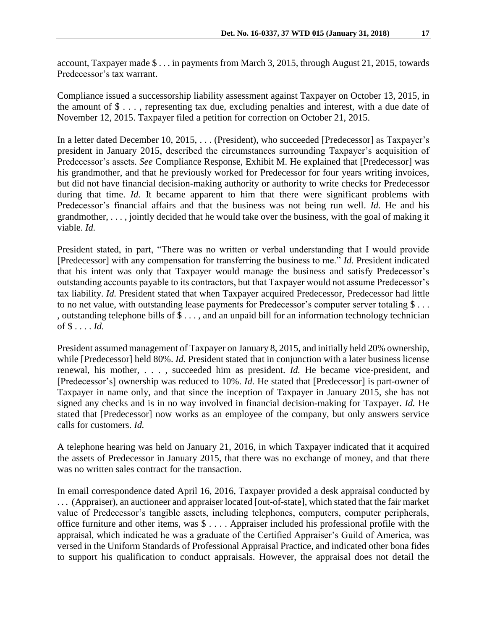account, Taxpayer made \$ . . . in payments from March 3, 2015, through August 21, 2015, towards Predecessor's tax warrant.

Compliance issued a successorship liability assessment against Taxpayer on October 13, 2015, in the amount of \$ . . . , representing tax due, excluding penalties and interest, with a due date of November 12, 2015. Taxpayer filed a petition for correction on October 21, 2015.

In a letter dated December 10, 2015, . . . (President), who succeeded [Predecessor] as Taxpayer's president in January 2015, described the circumstances surrounding Taxpayer's acquisition of Predecessor's assets. *See* Compliance Response, Exhibit M. He explained that [Predecessor] was his grandmother, and that he previously worked for Predecessor for four years writing invoices, but did not have financial decision-making authority or authority to write checks for Predecessor during that time. *Id.* It became apparent to him that there were significant problems with Predecessor's financial affairs and that the business was not being run well. *Id.* He and his grandmother, . . . , jointly decided that he would take over the business, with the goal of making it viable. *Id.* 

President stated, in part, "There was no written or verbal understanding that I would provide [Predecessor] with any compensation for transferring the business to me." *Id.* President indicated that his intent was only that Taxpayer would manage the business and satisfy Predecessor's outstanding accounts payable to its contractors, but that Taxpayer would not assume Predecessor's tax liability. *Id.* President stated that when Taxpayer acquired Predecessor, Predecessor had little to no net value, with outstanding lease payments for Predecessor's computer server totaling \$ . . . , outstanding telephone bills of \$ . . . , and an unpaid bill for an information technology technician of \$ . . . . *Id.* 

President assumed management of Taxpayer on January 8, 2015, and initially held 20% ownership, while [Predecessor] held 80%. *Id.* President stated that in conjunction with a later business license renewal, his mother, . . . , succeeded him as president. *Id.* He became vice-president, and [Predecessor's] ownership was reduced to 10%. *Id.* He stated that [Predecessor] is part-owner of Taxpayer in name only, and that since the inception of Taxpayer in January 2015, she has not signed any checks and is in no way involved in financial decision-making for Taxpayer. *Id.* He stated that [Predecessor] now works as an employee of the company, but only answers service calls for customers. *Id.* 

A telephone hearing was held on January 21, 2016, in which Taxpayer indicated that it acquired the assets of Predecessor in January 2015, that there was no exchange of money, and that there was no written sales contract for the transaction.

In email correspondence dated April 16, 2016, Taxpayer provided a desk appraisal conducted by . . . (Appraiser), an auctioneer and appraiser located [out-of-state], which stated that the fair market value of Predecessor's tangible assets, including telephones, computers, computer peripherals, office furniture and other items, was \$ . . . . Appraiser included his professional profile with the appraisal, which indicated he was a graduate of the Certified Appraiser's Guild of America, was versed in the Uniform Standards of Professional Appraisal Practice, and indicated other bona fides to support his qualification to conduct appraisals. However, the appraisal does not detail the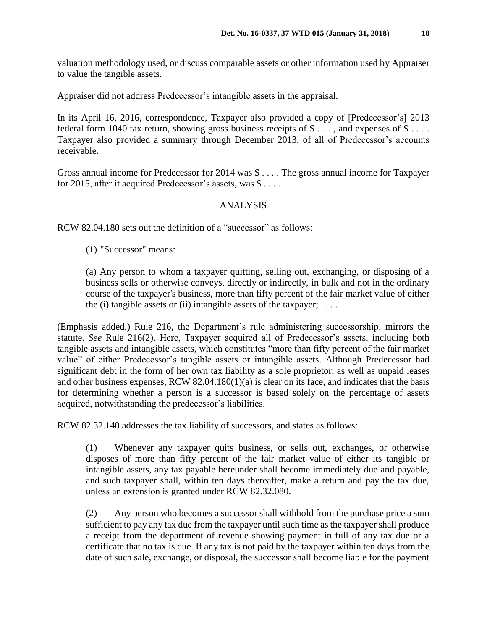valuation methodology used, or discuss comparable assets or other information used by Appraiser to value the tangible assets.

Appraiser did not address Predecessor's intangible assets in the appraisal.

In its April 16, 2016, correspondence, Taxpayer also provided a copy of [Predecessor's] 2013 federal form 1040 tax return, showing gross business receipts of \$ . . . , and expenses of \$ . . . . Taxpayer also provided a summary through December 2013, of all of Predecessor's accounts receivable.

Gross annual income for Predecessor for 2014 was \$ . . . . The gross annual income for Taxpayer for 2015, after it acquired Predecessor's assets, was \$ . . . .

# ANALYSIS

RCW 82.04.180 sets out the definition of a "successor" as follows:

(1) "Successor" means:

(a) Any person to whom a taxpayer quitting, selling out, exchanging, or disposing of a business sells or otherwise conveys, directly or indirectly, in bulk and not in the ordinary course of the taxpayer's business, more than fifty percent of the fair market value of either the (i) tangible assets or (ii) intangible assets of the taxpayer;  $\dots$ 

(Emphasis added.) Rule 216, the Department's rule administering successorship, mirrors the statute. *See* Rule 216(2). Here, Taxpayer acquired all of Predecessor's assets, including both tangible assets and intangible assets, which constitutes "more than fifty percent of the fair market value" of either Predecessor's tangible assets or intangible assets. Although Predecessor had significant debt in the form of her own tax liability as a sole proprietor, as well as unpaid leases and other business expenses, RCW 82.04.180(1)(a) is clear on its face, and indicates that the basis for determining whether a person is a successor is based solely on the percentage of assets acquired, notwithstanding the predecessor's liabilities.

RCW 82.32.140 addresses the tax liability of successors, and states as follows:

(1) Whenever any taxpayer quits business, or sells out, exchanges, or otherwise disposes of more than fifty percent of the fair market value of either its tangible or intangible assets, any tax payable hereunder shall become immediately due and payable, and such taxpayer shall, within ten days thereafter, make a return and pay the tax due, unless an extension is granted under RCW 82.32.080.

(2) Any person who becomes a successor shall withhold from the purchase price a sum sufficient to pay any tax due from the taxpayer until such time as the taxpayer shall produce a receipt from the department of revenue showing payment in full of any tax due or a certificate that no tax is due. If any tax is not paid by the taxpayer within ten days from the date of such sale, exchange, or disposal, the successor shall become liable for the payment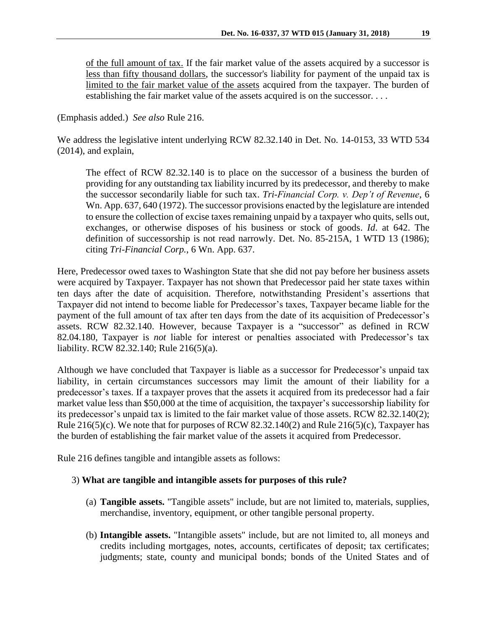of the full amount of tax. If the fair market value of the assets acquired by a successor is less than fifty thousand dollars, the successor's liability for payment of the unpaid tax is limited to the fair market value of the assets acquired from the taxpayer. The burden of establishing the fair market value of the assets acquired is on the successor. . . .

(Emphasis added.) *See also* Rule 216.

We address the legislative intent underlying RCW 82.32.140 in Det. No. 14-0153, 33 WTD 534 (2014), and explain,

The effect of RCW 82.32.140 is to place on the successor of a business the burden of providing for any outstanding tax liability incurred by its predecessor, and thereby to make the successor secondarily liable for such tax. *Tri-Financial Corp. v. Dep't of Revenue*, 6 Wn. App. 637, 640 (1972). The successor provisions enacted by the legislature are intended to ensure the collection of excise taxes remaining unpaid by a taxpayer who quits, sells out, exchanges, or otherwise disposes of his business or stock of goods. *Id*. at 642. The definition of successorship is not read narrowly. Det. No. 85-215A, 1 WTD 13 (1986); citing *Tri-Financial Corp.*, 6 Wn. App. 637.

Here, Predecessor owed taxes to Washington State that she did not pay before her business assets were acquired by Taxpayer. Taxpayer has not shown that Predecessor paid her state taxes within ten days after the date of acquisition. Therefore, notwithstanding President's assertions that Taxpayer did not intend to become liable for Predecessor's taxes, Taxpayer became liable for the payment of the full amount of tax after ten days from the date of its acquisition of Predecessor's assets. RCW 82.32.140. However, because Taxpayer is a "successor" as defined in RCW 82.04.180, Taxpayer is *not* liable for interest or penalties associated with Predecessor's tax liability. RCW 82.32.140; Rule 216(5)(a).

Although we have concluded that Taxpayer is liable as a successor for Predecessor's unpaid tax liability, in certain circumstances successors may limit the amount of their liability for a predecessor's taxes. If a taxpayer proves that the assets it acquired from its predecessor had a fair market value less than \$50,000 at the time of acquisition, the taxpayer's successorship liability for its predecessor's unpaid tax is limited to the fair market value of those assets. RCW 82.32.140(2); Rule  $216(5)(c)$ . We note that for purposes of RCW 82.32.140(2) and Rule  $216(5)(c)$ , Taxpayer has the burden of establishing the fair market value of the assets it acquired from Predecessor.

Rule 216 defines tangible and intangible assets as follows:

#### 3) **What are tangible and intangible assets for purposes of this rule?**

- (a) **Tangible assets.** "Tangible assets" include, but are not limited to, materials, supplies, merchandise, inventory, equipment, or other tangible personal property.
- (b) **Intangible assets.** "Intangible assets" include, but are not limited to, all moneys and credits including mortgages, notes, accounts, certificates of deposit; tax certificates; judgments; state, county and municipal bonds; bonds of the United States and of